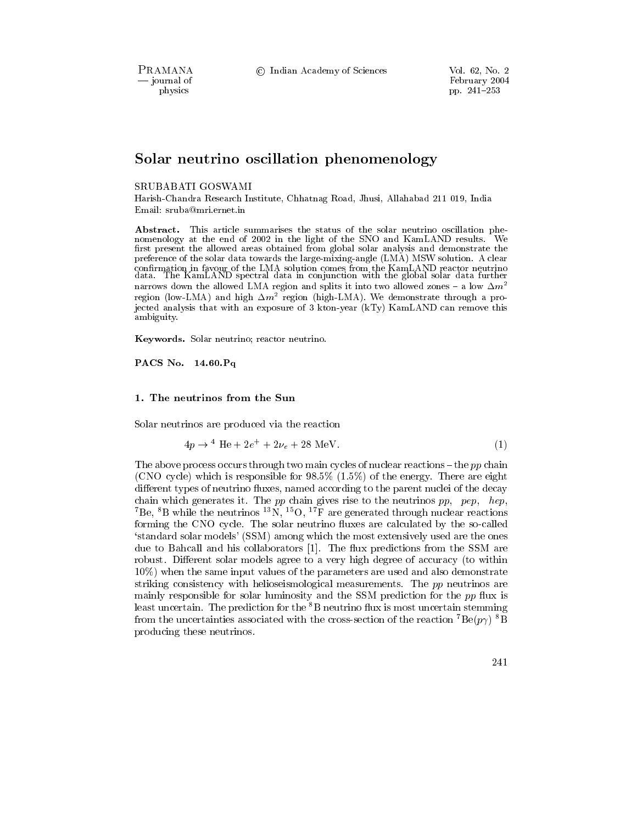PRAMANA - journal of physics

© Indian Academy of Sciences

# Solar neutrino oscillation phenomenology

### SRUBABATI GOSWAMI

Harish-Chandra Research Institute, Chhatnag Road, Jhusi, Allahabad 211 019, India Email: sruba@mri.ernet.in

Abstract. This article summarises the status of the solar neutrino oscillation phenomenology at the end of 2002 in the light of the SNO and KamLAND results. We first present the allowed areas obtained from global solar analysis and demonstrate the preference of the solar data towards the large-mixing-angle (LMA) MSW solution. A clear confirmation in favour of the LMA solution comes from the KamLAND reactor neutrino data. The KamLAND spectral data in conjunction with the global solar data further narrows down the allowed LMA region and splits it into two allowed zones - a low  $\Delta m^2$ region (low-LMA) and high  $\Delta m^2$  region (high-LMA). We demonstrate through a projected analysis that with an exposure of 3 kton-year (kTy) KamLAND can remove this ambiguity.

Keywords. Solar neutrino; reactor neutrino.

PACS No. 14.60. Pq

#### 1. The neutrinos from the Sun

Solar neutrinos are produced via the reaction

$$
4p \to {}^{4} \text{He} + 2e^{+} + 2\nu_{e} + 28 \text{ MeV}.
$$
 (1)

The above process occurs through two main cycles of nuclear reactions – the  $pp$  chain (CNO cycle) which is responsible for 98.5%  $(1.5\%)$  of the energy. There are eight different types of neutrino fluxes, named according to the parent nuclei of the decay chain which generates it. The  $pp$  chain gives rise to the neutrinos  $pp$ ,  $pep$ ,  $hep$ , <sup>7</sup>Be, <sup>8</sup>B while the neutrinos <sup>13</sup>N, <sup>15</sup>O, <sup>17</sup>F are generated through nuclear reactions forming the CNO cycle. The solar neutrino fluxes are calculated by the so-called 'standard solar models' (SSM) among which the most extensively used are the ones due to Bahcall and his collaborators [1]. The flux predictions from the SSM are robust. Different solar models agree to a very high degree of accuracy (to within 10%) when the same input values of the parameters are used and also demonstrate striking consistency with helioseismological measurements. The pp neutrinos are mainly responsible for solar luminosity and the SSM prediction for the pp flux is least uncertain. The prediction for the  ${}^{8}B$  neutrino flux is most uncertain stemming from the uncertainties associated with the cross-section of the reaction  $^7$ Be( $p\gamma$ )  $^8$ B producing these neutrinos.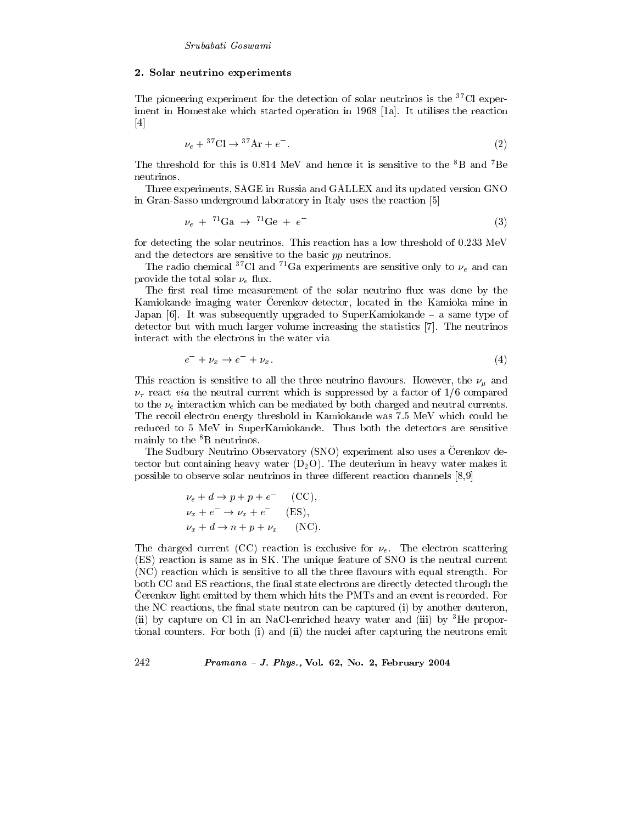# 2. Solar neutrino experiments

The pioneering experiment for the detection of solar neutrinos is the  ${}^{37}$ Cl experiment in Homestake which started operation in 1968 [1a]. It utilises the reaction  $|4|$ 

$$
\nu_e + {}^{37}\text{Cl} \rightarrow {}^{37}\text{Ar} + e^-.
$$

The threshold for this is 0.814 MeV and hence it is sensitive to the <sup>8</sup>B and <sup>7</sup>Be neutrinos.

Three experiments, SAGE in Russia and GALLEX and its updated version GNO in Gran-Sasso underground laboratory in Italy uses the reaction [5]

$$
\nu_e + {}^{71}\text{Ga} \rightarrow {}^{71}\text{Ge} + e^- \tag{3}
$$

for detecting the solar neutrinos. This reaction has a low threshold of 0.233 MeV and the detectors are sensitive to the basic pp neutrinos.

The radio chemical <sup>37</sup>Cl and <sup>71</sup>Ga experiments are sensitive only to  $\nu_e$  and can provide the total solar  $\nu_e$  flux.

The first real time measurement of the solar neutrino flux was done by the Kamiokande imaging water Cerenkov detector, located in the Kamioka mine in Japan  $[6]$ . It was subsequently upgraded to SuperKamiokande – a same type of detector but with much larger volume increasing the statistics [7]. The neutrinos interact with the electrons in the water via

$$
e^- + \nu_x \to e^- + \nu_x. \tag{4}
$$

This reaction is sensitive to all the three neutrino flavours. However, the  $\nu_{\mu}$  and  $\nu_{\tau}$  react *via* the neutral current which is suppressed by a factor of 1/6 compared to the  $\nu_e$  interaction which can be mediated by both charged and neutral currents. The recoil electron energy threshold in Kamiokande was 7.5 MeV which could be reduced to 5 MeV in SuperKamiokande. Thus both the detectors are sensitive mainly to the <sup>8</sup>B neutrinos.

The Sudbury Neutrino Observatory (SNO) experiment also uses a Cerenkov detector but containing heavy water  $(D_2O)$ . The deuterium in heavy water makes it possible to observe solar neutrinos in three different reaction channels [8,9]

$$
\nu_e + d \rightarrow p + p + e^- \quad \text{(CC)},
$$
  
\n
$$
\nu_x + e^- \rightarrow \nu_x + e^- \quad \text{(ES)},
$$
  
\n
$$
\nu_x + d \rightarrow n + p + \nu_x \quad \text{(NC)}.
$$

The charged current (CC) reaction is exclusive for  $\nu_e$ . The electron scattering (ES) reaction is same as in SK. The unique feature of SNO is the neutral current (NC) reaction which is sensitive to all the three flavours with equal strength. For both CC and ES reactions, the final state electrons are directly detected through the Cerenkov light emitted by them which hits the PMTs and an event is recorded. For the NC reactions, the final state neutron can be captured (i) by another deuteron, (ii) by capture on Cl in an NaCl-enriched heavy water and (iii) by  ${}^{3}$ He proportional counters. For both (i) and (ii) the nuclei after capturing the neutrons emit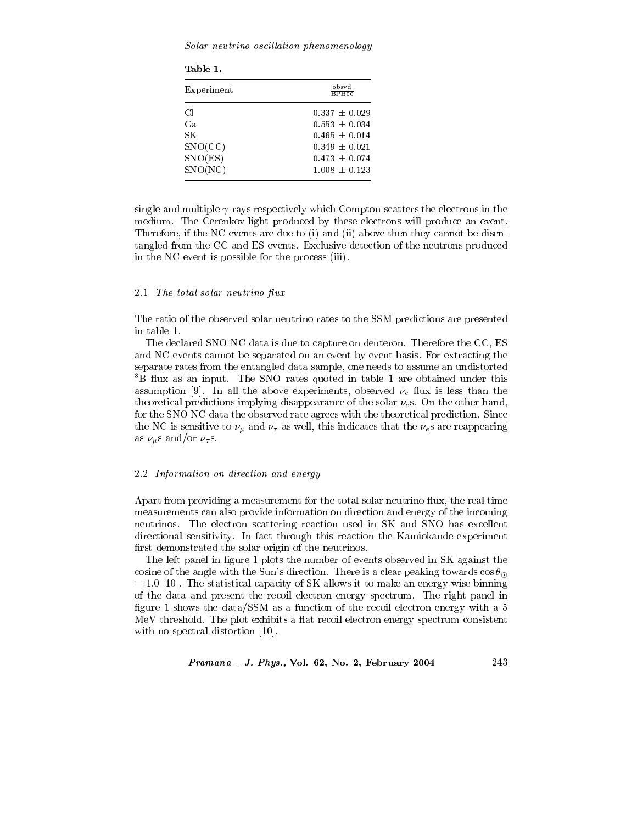Solar neutrino oscillation phenomenology

| Table 1.                                         |                                                                                                                            |
|--------------------------------------------------|----------------------------------------------------------------------------------------------------------------------------|
| Experiment                                       | obsvd<br>BPR00                                                                                                             |
| Сl<br>Gа.<br>SΚ<br>SNO(CC)<br>SNO(ES)<br>SNO(NC) | $0.337 \pm 0.029$<br>$0.553 \pm 0.034$<br>$0.465 \pm 0.014$<br>$0.349 \pm 0.021$<br>$0.473 \pm 0.074$<br>$1.008 \pm 0.123$ |

single and multiple  $\gamma$ -rays respectively which Compton scatters the electrons in the medium. The Čerenkov light produced by these electrons will produce an event. Therefore, if the NC events are due to (i) and (ii) above then they cannot be disentangled from the CC and ES events. Exclusive detection of the neutrons produced in the NC event is possible for the process (iii).

#### 2.1 The total solar neutrino flux

The ratio of the observed solar neutrino rates to the SSM predictions are presented in table 1.

The declared SNO NC data is due to capture on deuteron. Therefore the CC, ES and NC events cannot be separated on an event by event basis. For extracting the separate rates from the entangled data sample, one needs to assume an undistorted <sup>8</sup>B flux as an input. The SNO rates quoted in table 1 are obtained under this assumption [9]. In all the above experiments, observed  $\nu_e$  flux is less than the theoretical predictions implying disappearance of the solar  $\nu_e$ s. On the other hand, for the SNO NC data the observed rate agrees with the theoretical prediction. Since the NC is sensitive to  $\nu_{\mu}$  and  $\nu_{\tau}$  as well, this indicates that the  $\nu_{e}$ s are reappearing as  $\nu_\mu$ s and/or  $\nu_\tau$ s.

## 2.2 Information on direction and energy

Apart from providing a measurement for the total solar neutrino flux, the real time measurements can also provide information on direction and energy of the incoming neutrinos. The electron scattering reaction used in SK and SNO has excellent directional sensitivity. In fact through this reaction the Kamiokande experiment first demonstrated the solar origin of the neutrinos.

The left panel in figure 1 plots the number of events observed in SK against the cosine of the angle with the Sun's direction. There is a clear peaking towards  $\cos \theta_{\odot}$  $= 1.0$  [10]. The statistical capacity of SK allows it to make an energy-wise binning of the data and present the recoil electron energy spectrum. The right panel in figure 1 shows the data/SSM as a function of the recoil electron energy with a 5 MeV threshold. The plot exhibits a flat recoil electron energy spectrum consistent with no spectral distortion [10].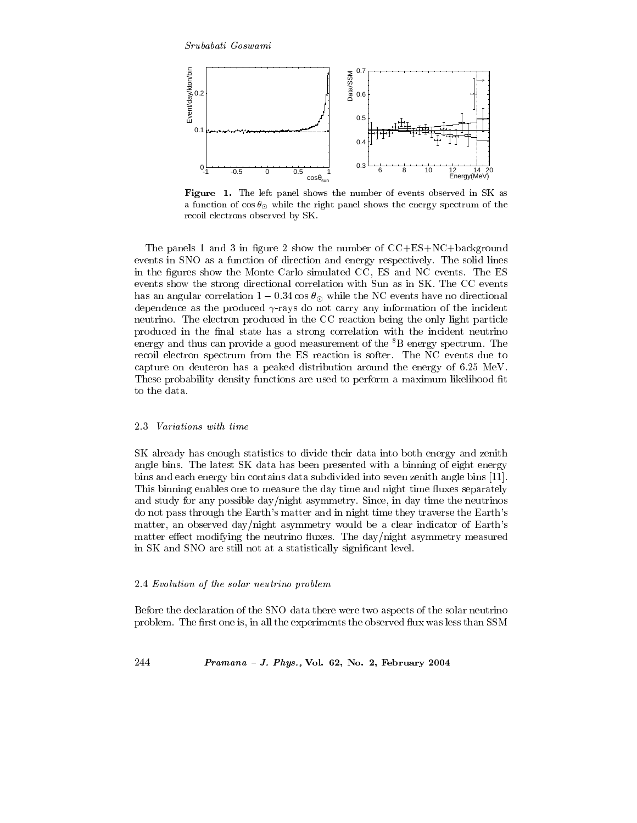Srubabati Goswami



Figure 1. The left panel shows the number of events observed in SK as a function of  $\cos\theta_{\odot}$  while the right panel shows the energy spectrum of the recoil electrons observed by SK.

The panels 1 and 3 in figure 2 show the number of  $CC+ES+NC+background$ events in SNO as a function of direction and energy respectively. The solid lines in the figures show the Monte Carlo simulated CC, ES and NC events. The ES events show the strong directional correlation with Sun as in SK. The CC events has an angular correlation  $1 - 0.34 \cos \theta_{\odot}$  while the NC events have no directional dependence as the produced  $\gamma$ -rays do not carry any information of the incident neutrino. The electron produced in the CC reaction being the only light particle produced in the final state has a strong correlation with the incident neutrino energy and thus can provide a good measurement of the <sup>8</sup>B energy spectrum. The recoil electron spectrum from the ES reaction is softer. The NC events due to capture on deuteron has a peaked distribution around the energy of 6.25 MeV. These probability density functions are used to perform a maximum likelihood fit to the data.

#### 2.3 *Variations* with time

SK already has enough statistics to divide their data into both energy and zenith angle bins. The latest SK data has been presented with a binning of eight energy bins and each energy bin contains data subdivided into seven zenith angle bins [11]. This binning enables one to measure the day time and night time fluxes separately and study for any possible day/night asymmetry. Since, in day time the neutrinos do not pass through the Earth's matter and in night time they traverse the Earth's matter, an observed day/night asymmetry would be a clear indicator of Earth's matter effect modifying the neutrino fluxes. The day/night asymmetry measured in SK and SNO are still not at a statistically significant level.

# 2.4 Evolution of the solar neutrino problem

Before the declaration of the SNO data there were two aspects of the solar neutrino problem. The first one is, in all the experiments the observed flux was less than SSM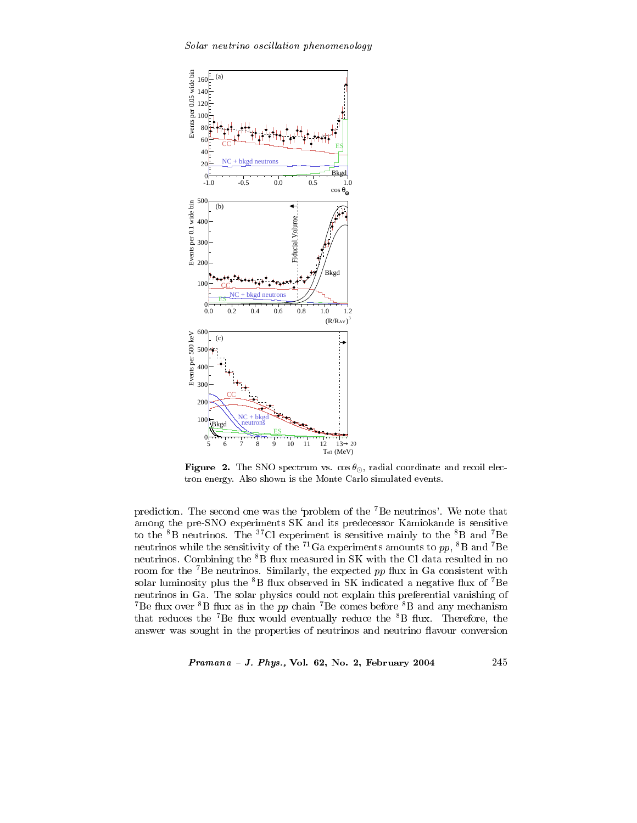wouw, nower tho obcenturion phononcology



**Figure 2.** The SNO spectrum vs.  $\cos\theta_{\odot}$ , radial coordinate and recoil electron energy. Also shown is the Monte Carlo simulated events.

prediction. The second one was the 'problem of the  $7Be$  neutrinos'. We note that (
& 7-- 4( -E E(
>  $\frac{1}{2}$  and  $\frac{1}{2}$  are  $\frac{1}{2}$  and  $\frac{1}{2}$  and  $\frac{1}{2}$  and  $\frac{1}{2}$  and  $\frac{1}{2}$  and  $\frac{1}{2}$  and  $\frac{1}{2}$  and  $\frac{1}{2}$  and  $\frac{1}{2}$  and  $\frac{1}{2}$  and  $\frac{1}{2}$  and  $\frac{1}{2}$  and  $\frac{1}{2}$  and  $\frac{1}{2}$  a neutrinos while the sensitivity of the  $\cdot$  Ga experiments amounts to  $pp$ ,  $\cdot$  B and  $\cdot$  Be  ${\rm neutrinos.}$  . Compining the  ${\rm ^{\circ}B}$  flux measured in SK with the CI data resulted in no room for the 'Be neutrinos. Similarly, the expected  $pp$  nux in Ga consistent with solar fuminosity plus the  $\cdot$  D mux observed in  $5K$  indicated a negative nux of  $\cdot$  De neutrinos in Ga. The solar physics could not explain this preferential vanishing of <sup>7</sup>Be flux over <sup>8</sup>B flux as in the *pp* chain <sup>7</sup>Be comes before <sup>8</sup>B and any mechanism that reduces the  ${}^{7}$ Be flux would eventually reduce the  ${}^{8}B$  flux. Therefore, the answer was sought in the properties of neutrinos and neutrino flavour conversion

-  - 0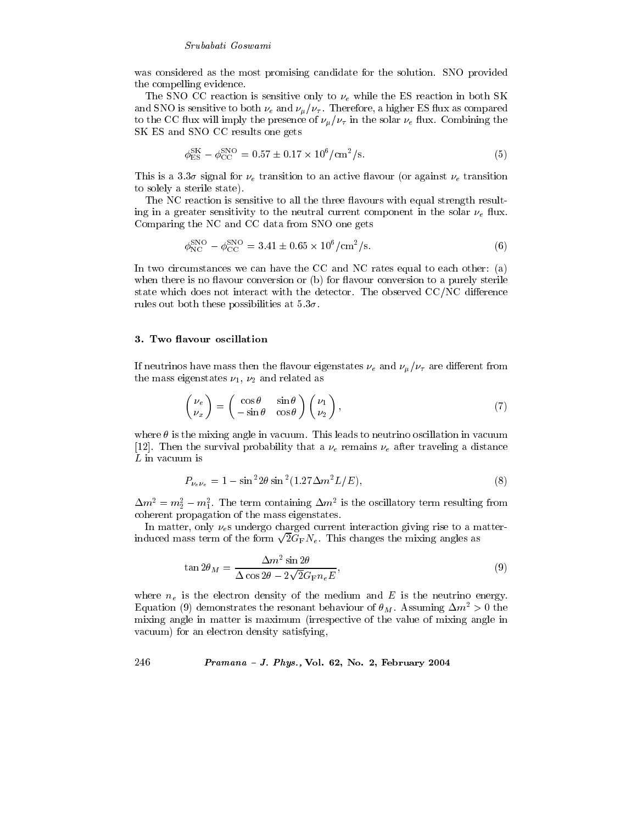### Srubabati Goswami

was considered as the most promising candidate for the solution. SNO provided the compelling evidence.

The SNO CC reaction is sensitive only to  $\nu_e$  while the ES reaction in both SK and SNO is sensitive to both  $\nu_e$  and  $\nu_\mu/\nu_\tau$ . Therefore, a higher ES flux as compared to the CC flux will imply the presence of  $\nu_{\mu}/\nu_{\tau}$  in the solar  $\nu_e$  flux. Combining the SK ES and SNO CC results one gets

$$
\phi_{\rm ES}^{\rm SK} - \phi_{\rm CC}^{\rm SNO} = 0.57 \pm 0.17 \times 10^6 / \text{cm}^2/\text{s}.\tag{5}
$$

This is a 3.3 $\sigma$  signal for  $\nu_e$  transition to an active flavour (or against  $\nu_e$  transition to solely a sterile state).

The NC reaction is sensitive to all the three flavours with equal strength resulting in a greater sensitivity to the neutral current component in the solar  $\nu_e$  flux. Comparing the NC and CC data from SNO one gets

$$
\phi_{\rm NC}^{\rm SNO} - \phi_{\rm CC}^{\rm SNO} = 3.41 \pm 0.65 \times 10^6 / \text{cm}^2/\text{s}.\tag{6}
$$

In two circumstances we can have the CC and NC rates equal to each other: (a) when there is no flavour conversion or (b) for flavour conversion to a purely sterile state which does not interact with the detector. The observed CC/NC difference rules out both these possibilities at  $5.3\sigma$ .

#### 3. Two flavour oscillation

If neutrinos have mass then the flavour eigenstates  $\nu_e$  and  $\nu_\mu/\nu_\tau$  are different from the mass eigenstates  $\nu_1$ ,  $\nu_2$  and related as

$$
\begin{pmatrix} \nu_e \\ \nu_x \end{pmatrix} = \begin{pmatrix} \cos \theta & \sin \theta \\ -\sin \theta & \cos \theta \end{pmatrix} \begin{pmatrix} \nu_1 \\ \nu_2 \end{pmatrix}, \tag{7}
$$

where  $\theta$  is the mixing angle in vacuum. This leads to neutrino oscillation in vacuum [12]. Then the survival probability that a  $\nu_e$  remains  $\nu_e$  after traveling a distance  $L$  in vacuum is

$$
P_{\nu_e \nu_e} = 1 - \sin^2 2\theta \sin^2 (1.27 \Delta m^2 L/E),\tag{8}
$$

 $\Delta m^2 = m_2^2 - m_1^2$ . The term containing  $\Delta m^2$  is the oscillatory term resulting from coherent propagation of the mass eigenstates.

In matter, only  $\nu_e$ s undergo charged current interaction giving rise to a matterinduced mass term of the form  $\sqrt{2}G_F N_e$ . This changes the mixing angles as

$$
\tan 2\theta_M = \frac{\Delta m^2 \sin 2\theta}{\Delta \cos 2\theta - 2\sqrt{2}G_{\rm F} n_e E},\tag{9}
$$

where  $n_e$  is the electron density of the medium and E is the neutrino energy. Equation (9) demonstrates the resonant behaviour of  $\theta_M$ . Assuming  $\Delta m^2 > 0$  the mixing angle in matter is maximum (irrespective of the value of mixing angle in vacuum) for an electron density satisfying,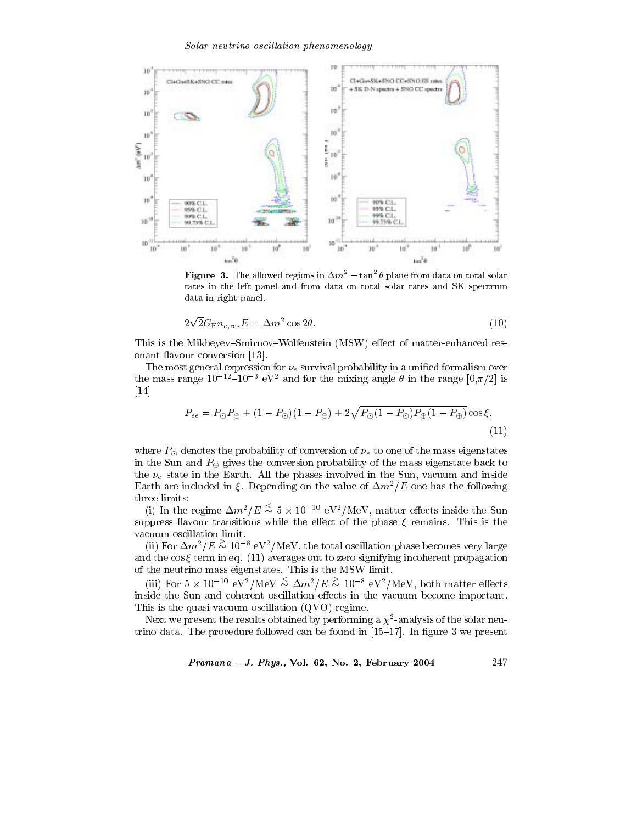

**Figure 3.** The allowed regions in  $\Delta m^2 - \tan^2 \theta$  plane from data on total solar rates in the left panel and from data on total solar rates and SK spectrum data in right panel.

$$
2\sqrt{2}G_{\rm F}n_{e,\rm res}E = \Delta m^2 \cos 2\theta. \tag{10}
$$

This is the Mikheyev-Smirnov-Wolfenstein (MSW) effect of matter-enhanced resonant flavour conversion [13].

The most general expression for  $\nu_e$  survival probability in a unified formalism over the mass range  $10^{-12}$ – $10^{-3}$  eV<sup>2</sup> and for the mixing angle  $\theta$  in the range  $[0, \pi/2]$  is  $[14]$ 

$$
P_{ee} = P_{\odot} P_{\oplus} + (1 - P_{\odot})(1 - P_{\oplus}) + 2\sqrt{P_{\odot}(1 - P_{\odot})P_{\oplus}(1 - P_{\oplus})}\cos\xi,
$$
\n(11)

where  $P_{\odot}$  denotes the probability of conversion of  $\nu_e$  to one of the mass eigenstates in the Sun and  $P_{\oplus}$  gives the conversion probability of the mass eigenstate back to the  $\nu_e$  state in the Earth. All the phases involved in the Sun, vacuum and inside Earth are included in  $\xi$ . Depending on the value of  $\Delta m^2/E$  one has the following three limits:

(i) In the regime  $\Delta m^2/E \, \stackrel{\textstyle <}{\sim} \, 5 \times 10^{-10} \, \text{eV}^2/\text{MeV}$ , matter effects inside the Sun suppress flavour transitions while the effect of the phase  $\xi$  remains. This is the vacuum oscillation limit.

(ii) For  $\Delta m^2/E \, \stackrel{\textstyle >}{\sim} \, 10^{-8} \, \text{eV}^2/\text{MeV}$ , the total oscillation phase becomes very large and the  $\cos \xi$  term in eq. (11) averages out to zero signifying incoherent propagation of the neutrino mass eigenstates. This is the MSW limit.

(iii) For  $5 \times 10^{-10}$  eV<sup>2</sup>/MeV  $\lesssim \Delta m^2/E \gtrsim 10^{-8}$  eV<sup>2</sup>/MeV, both matter effects inside the Sun and coherent oscillation effects in the vacuum become important. This is the quasi vacuum oscillation  $(QVO)$  regime.

Next we present the results obtained by performing a  $\chi^2$ -analysis of the solar neutrino data. The procedure followed can be found in  $[15-17]$ . In figure 3 we present

Pramana - J. Phys., Vol. 62, No. 2, February 2004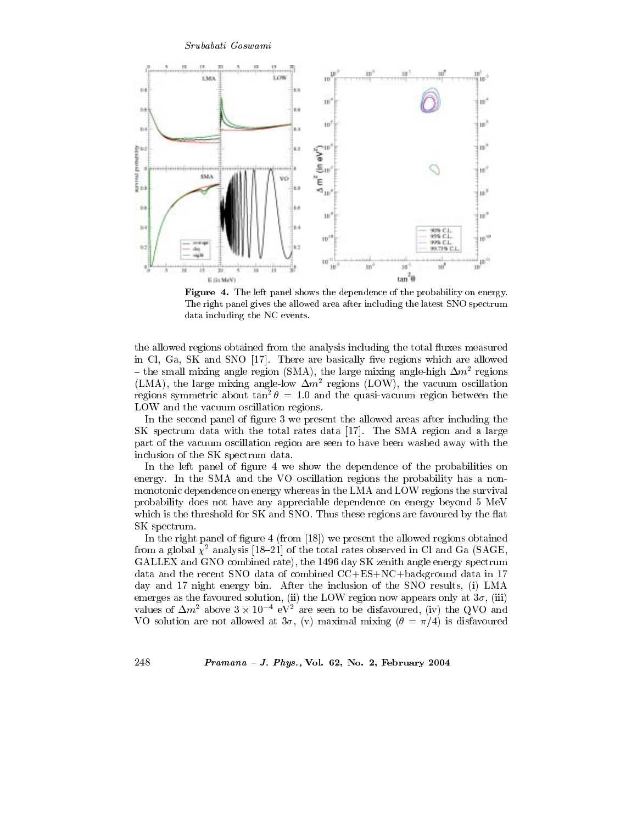#### Srubabati Goswami



Figure 4. The left panel shows the dependence of the probability on energy. The right panel gives the allowed area after including the latest SNO spectrum data including the NC events.

the allowed regions obtained from the analysis including the total fluxes measured in Cl, Ga, SK and SNO [17]. There are basically five regions which are allowed - the small mixing angle region (SMA), the large mixing angle-high  $\Delta m^2$  regions (LMA), the large mixing angle-low  $\Delta m^2$  regions (LOW), the vacuum oscillation regions symmetric about  $tan^2 \theta = 1.0$  and the quasi-vacuum region between the LOW and the vacuum oscillation regions.

In the second panel of figure 3 we present the allowed areas after including the SK spectrum data with the total rates data [17]. The SMA region and a large part of the vacuum oscillation region are seen to have been washed away with the inclusion of the SK spectrum data.

In the left panel of figure 4 we show the dependence of the probabilities on energy. In the SMA and the VO oscillation regions the probability has a nonmonotonic dependence on energy whereas in the LMA and LOW regions the survival probability does not have any appreciable dependence on energy beyond 5 MeV which is the threshold for SK and SNO. Thus these regions are favoured by the flat SK spectrum.

In the right panel of figure 4 (from  $[18]$ ) we present the allowed regions obtained from a global  $\chi^2$  analysis [18–21] of the total rates observed in Cl and Ga (SAGE, GALLEX and GNO combined rate), the 1496 day SK zenith angle energy spectrum data and the recent SNO data of combined CC+ES+NC+background data in 17 day and 17 night energy bin. After the inclusion of the SNO results, (i) LMA emerges as the favoured solution, (ii) the LOW region now appears only at  $3\sigma$ , (iii) values of  $\Delta m^2$  above  $3 \times 10^{-4}$  eV<sup>2</sup> are seen to be disfavoured, (iv) the QVO and VO solution are not allowed at  $3\sigma$ , (v) maximal mixing ( $\theta = \pi/4$ ) is disfavoured

$$
Pramana - J. Phys., Vol. 62, No. 2, February 2004
$$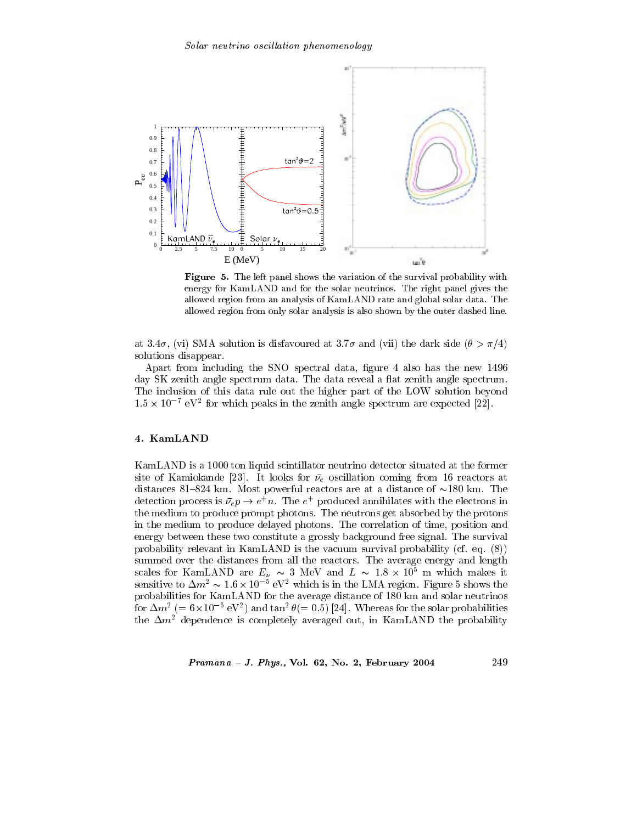

**Figure 5.** The left panel shows the variation of the survival probability with energy for KamLAND and for the solar neutrinos. The right panel gives the allowed region from an analysis of KamLAND rate and global solar data. The allowed region from only solar analysis is also shown by the outer dashed line.

at 3.4 $\sigma$ , (vi) SMA solution is disfavoured at 3.7 $\sigma$  and (vii) the dark side ( $\theta > \pi/4$ ) solutions disappear.

Apart from including the SNO spectral data, figure 4 also has the new 1496 day SK zenith angle spectrum data. The data reveal a flat zenith angle spectrum. The inclusion of this data rule out the higher part of the LOW solution beyond  $1.5 \times 10^{-7}$  eV<sup>2</sup> for which peaks in the zenith angle spectrum are expected [22].

# 4. KamLAND

KamLAND is a 1000 ton liquid scintillator neutrino detector situated at the former site of Kamiokande [23]. It looks for  $\bar{\nu}_e$  oscillation coming from 16 reactors at distances 81-824 km. Most powerful reactors are at a distance of  $\sim$ 180 km. The detection process is  $\bar{\nu_e} p \rightarrow e^+ n$ . The  $e^+$  produced annihilates with the electrons in the medium to produce prompt photons. The neutrons get absorbed by the protons in the medium to produce delayed photons. The correlation of time, position and energy between these two constitute a grossly background free signal. The survival probability relevant in KamLAND is the vacuum survival probability (cf. eq.  $(8)$ ) summed over the distances from all the reactors. The average energy and length scales for KamLAND are  $E_{\nu} \sim 3$  MeV and  $L \sim 1.8 \times 10^5$  m which makes it sensitive to  $\Delta m^2 \sim 1.6 \times 10^{-5}$  eV<sup>2</sup> which is in the LMA region. Figure 5 shows the probabilities for KamLAND for the average distance of 180 km and solar neutrinos for  $\Delta m^2$  (= 6×10<sup>-5</sup> eV<sup>2</sup>) and  $\tan^2 \theta (= 0.5)$  [24]. Whereas for the solar probabilities the  $\Delta m^2$  dependence is completely averaged out, in KamLAND the probability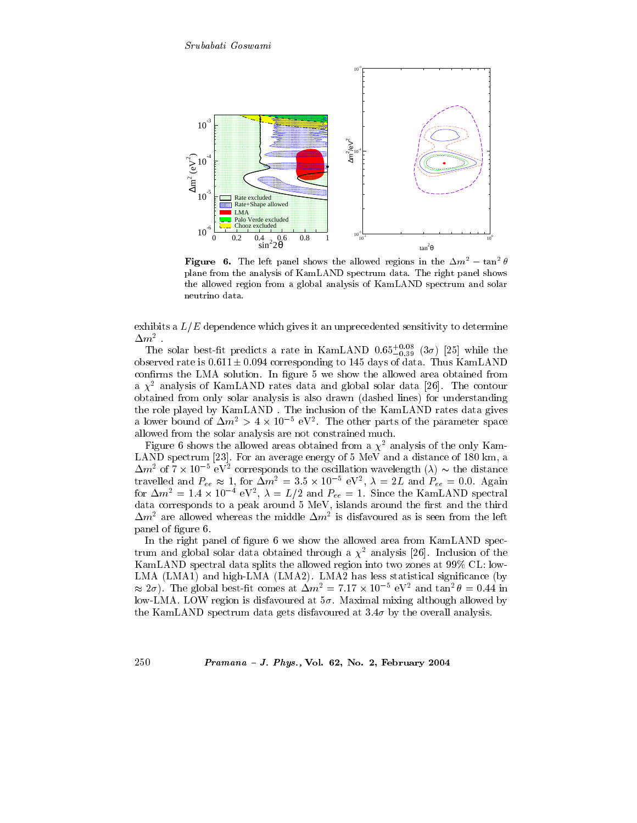

**Figure 6.** The left panel shows the allowed regions in the  $\Delta m^2 - \tan^2 \theta$ plane from the analysis of KamLAND spectrum data. The right panel shows the allowed region from a global analysis of KamLAND spectrum and solar neutrino data.

exhibits a  $L/E$  dependence which gives it an unprecedented sensitivity to determine  $\Delta m^2$  .

The solar best-fit predicts a rate in KamLAND  $0.65_{-0.39}^{+0.08}$  (3 $\sigma$ ) [25] while the observed rate is  $0.611 \pm 0.094$  corresponding to 145 days of data. Thus KamLAND confirms the LMA solution. In figure 5 we show the allowed area obtained from a  $\chi^2$  analysis of KamLAND rates data and global solar data [26]. The contour obtained from only solar analysis is also drawn (dashed lines) for understanding the role played by KamLAND. The inclusion of the KamLAND rates data gives a lower bound of  $\Delta m^2 > 4 \times 10^{-5}$  eV<sup>2</sup>. The other parts of the parameter space allowed from the solar analysis are not constrained much.

Figure 6 shows the allowed areas obtained from a  $\chi^2$  analysis of the only Kam-LAND spectrum [23]. For an average energy of 5 MeV and a distance of 180 km, a  $\Delta m^2$  of  $7 \times 10^{-5}$  eV<sup>2</sup> corresponds to the oscillation wavelength ( $\lambda$ )  $\sim$  the distance travelled and  $P_{ee} \approx 1$ , for  $\Delta m^2 = 3.5 \times 10^{-5}$  eV<sup>2</sup>,  $\lambda = 2L$  and  $P_{ee} = 0.0$ . Again<br>for  $\Delta m^2 = 1.4 \times 10^{-4}$  eV<sup>2</sup>,  $\lambda = L/2$  and  $P_{ee} = 1$ . Since the KamLAND spectral<br>data corresponds to a peak around 5 MeV, islands  $\Delta m^2$  are allowed whereas the middle  $\Delta m^2$  is disfavoured as is seen from the left panel of figure 6.

In the right panel of figure 6 we show the allowed area from KamLAND spectrum and global solar data obtained through a  $\chi^2$  analysis [26]. Inclusion of the KamLAND spectral data splits the allowed region into two zones at 99% CL: low-LMA (LMA1) and high-LMA (LMA2). LMA2 has less statistical significance (by  $\approx 2\sigma$ ). The global best-fit comes at  $\Delta m^2 = 7.17 \times 10^{-5}$  eV<sup>2</sup> and tan<sup>2</sup>  $\theta = 0.44$  in low-LMA. LOW region is disfavoured at  $5\sigma$ . Maximal mixing although allowed by the KamLAND spectrum data gets disfavoured at  $3.4\sigma$  by the overall analysis.

Pramana - J. Phys., Vol. 62, No. 2, February 2004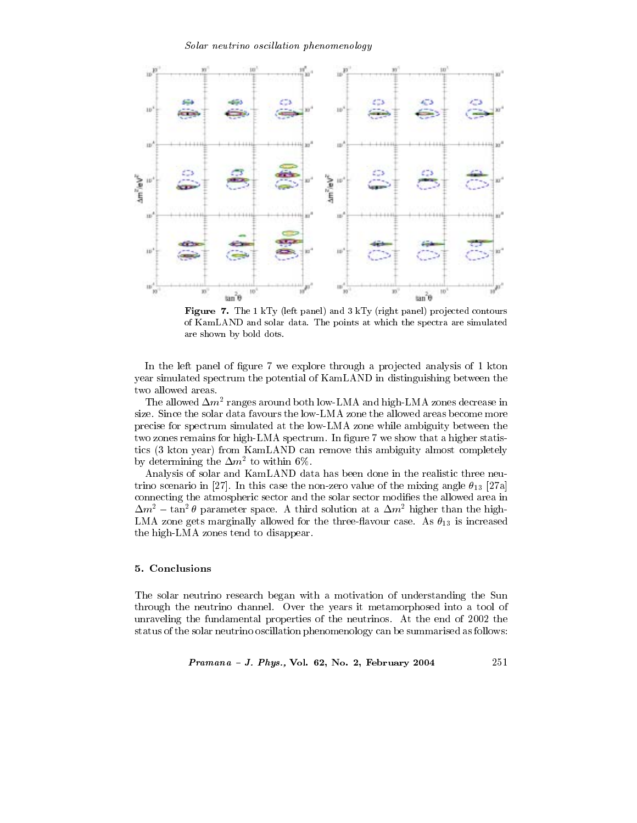

Figure 7. The 1 kTy (left panel) and 3 kTy (right panel) projected contours of KamLAND and solar data. The points at which the spectra are simulated are shown by bold dots.

In the left panel of figure 7 we explore through a projected analysis of 1 kton year simulated spectrum the potential of KamLAND in distinguishing between the two allowed areas.

The allowed  $\Delta m^2$  ranges around both low-LMA and high-LMA zones decrease in size. Since the solar data favours the low-LMA zone the allowed areas become more precise for spectrum simulated at the low-LMA zone while ambiguity between the two zones remains for high-LMA spectrum. In figure 7 we show that a higher statistics (3 kton year) from KamLAND can remove this ambiguity almost completely by determining the  $\Delta m^2$  to within 6%.

Analysis of solar and KamLAND data has been done in the realistic three neutrino scenario in [27]. In this case the non-zero value of the mixing angle  $\theta_{13}$  [27a] connecting the atmospheric sector and the solar sector modifies the allowed area in  $\Delta m^2$  – tan<sup>2</sup>  $\theta$  parameter space. A third solution at a  $\Delta m^2$  higher than the high-LMA zone gets marginally allowed for the three-flavour case. As  $\theta_{13}$  is increased the high-LMA zones tend to disappear.

# 5. Conclusions

The solar neutrino research began with a motivation of understanding the Sun through the neutrino channel. Over the years it metamorphosed into a tool of unraveling the fundamental properties of the neutrinos. At the end of 2002 the status of the solar neutrino oscillation phenomenology can be summarised as follows:

*Pramana - J. Phys.*, Vol. 62, No. 2, February 2004 
$$
251
$$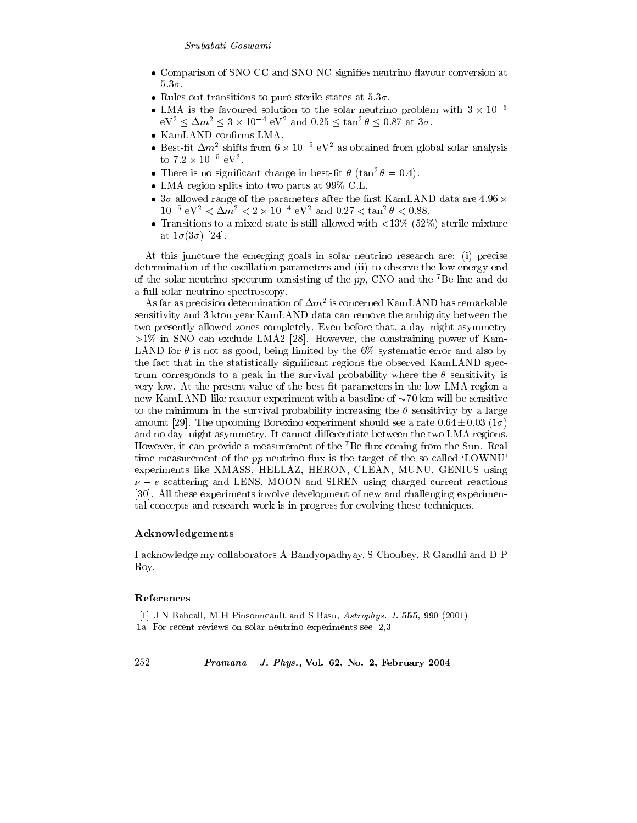- Comparison of SNO CC and SNO NC signifies neutrino flavour conversion at  $5.3\sigma$ .
- Rules out transitions to pure sterile states at  $5.3\sigma$ .
- LMA is the favoured solution to the solar neutrino problem with  $3 \times 10^{-5}$  $eV^2 \leq \Delta m^2 \leq 3 \times 10^{-4}$   $eV^2$  and  $0.25 \leq \tan^2 \theta \leq 0.87$  at  $3\sigma$ .
- KamLAND confirms LMA.
- Best-fit  $\Delta m^2$  shifts from  $6 \times 10^{-5}$  eV<sup>2</sup> as obtained from global solar analysis to  $7.2 \times 10^{-5} \text{ eV}^2$ .
- There is no significant change in best-fit  $\theta$  (tan<sup>2</sup>  $\theta$  = 0.4).
- LMA region splits into two parts at  $99\%$  C.L.
- $3\sigma$  allowed range of the parameters after the first KamLAND data are 4.96  $\times$  $10^{-5}$  eV<sup>2</sup> <  $\Delta m^2$  < 2 × 10<sup>-4</sup> eV<sup>2</sup> and 0.27 <  $\tan^2 \theta$  < 0.88.
- Transitions to a mixed state is still allowed with  $\langle 13\% \rangle$  (52%) sterile mixture at  $1\sigma(3\sigma)$  [24].

At this juncture the emerging goals in solar neutrino research are: (i) precise determination of the oscillation parameters and (ii) to observe the low energy end of the solar neutrino spectrum consisting of the  $pp$ , CNO and the <sup>7</sup>Be line and do a full solar neutrino spectroscopy.

As far as precision determination of  $\Delta m^2$  is concerned KamLAND has remarkable sensitivity and 3 kton year KamLAND data can remove the ambiguity between the two presently allowed zones completely. Even before that, a day-night asymmetry  $>1\%$  in SNO can exclude LMA2 [28]. However, the constraining power of Kam-LAND for  $\theta$  is not as good, being limited by the 6% systematic error and also by the fact that in the statistically significant regions the observed KamLAND spectrum corresponds to a peak in the survival probability where the  $\theta$  sensitivity is very low. At the present value of the best-fit parameters in the low-LMA region a new KamLAND-like reactor experiment with a baseline of  $\sim70$  km will be sensitive to the minimum in the survival probability increasing the  $\theta$  sensitivity by a large amount [29]. The upcoming Borexino experiment should see a rate  $0.64 \pm 0.03$  (1 $\sigma$ ) and no day-night asymmetry. It cannot differentiate between the two LMA regions. However, it can provide a measurement of the <sup>7</sup>Be flux coming from the Sun. Real time measurement of the pp neutrino flux is the target of the so-called 'LOWNU' experiments like XMASS, HELLAZ, HERON, CLEAN, MUNU, GENIUS using  $\nu - e$  scattering and LENS, MOON and SIREN using charged current reactions [30]. All these experiments involve development of new and challenging experimental concepts and research work is in progress for evolving these techniques.

### Acknowledgements

I acknowledge my collaborators A Bandyopadhyay, S Choubey, R Gandhi and D P Roy.

# References

- [1] J N Bahcall, M H Pinsonneault and S Basu, Astrophys. J. 555, 990 (2001)
- [1a] For recent reviews on solar neutrino experiments see [2,3]

252